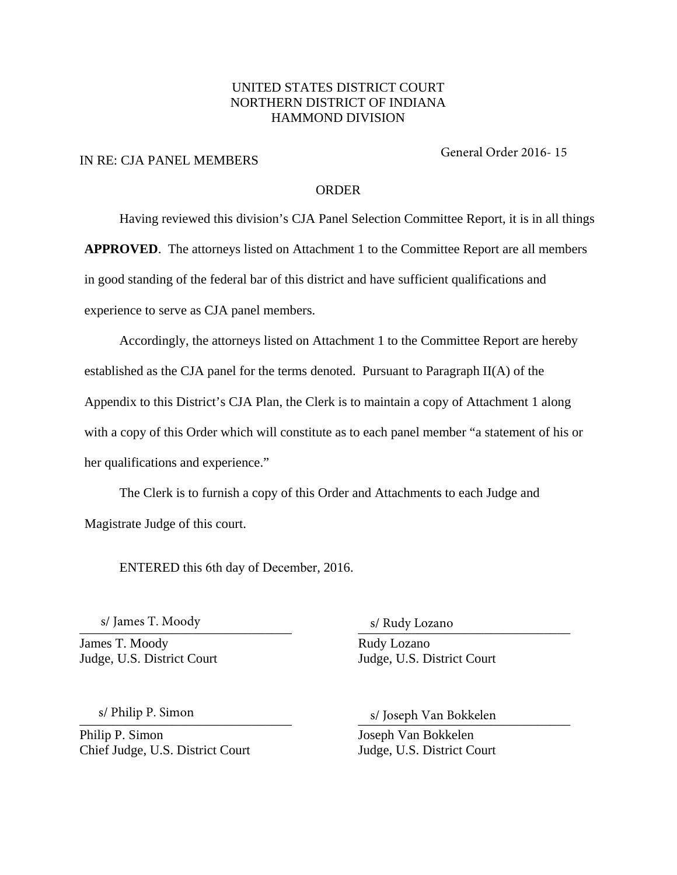## UNITED STATES DISTRICT COURT NORTHERN DISTRICT OF INDIANA HAMMOND DIVISION

### IN RE: CJA PANEL MEMBERS

General Order 2016- 15

### ORDER

Having reviewed this division's CJA Panel Selection Committee Report, it is in all things

**APPROVED**. The attorneys listed on Attachment 1 to the Committee Report are all members

in good standing of the federal bar of this district and have sufficient qualifications and

experience to serve as CJA panel members.

Accordingly, the attorneys listed on Attachment 1 to the Committee Report are hereby established as the CJA panel for the terms denoted. Pursuant to Paragraph II(A) of the Appendix to this District's CJA Plan, the Clerk is to maintain a copy of Attachment 1 along with a copy of this Order which will constitute as to each panel member "a statement of his or her qualifications and experience."

The Clerk is to furnish a copy of this Order and Attachments to each Judge and Magistrate Judge of this court.

ENTERED this 6th day of December, 2016.

 $\sim$  S/ Jaines 1. Moody s/ James T. Moody

James T. Moody Rudy Lozano

s/ Rudy Lozano

Judge, U.S. District Court Judge, U.S. District Court

s/ Philip P. Simon

Philip P. Simon Joseph Van Bokkelen Chief Judge, U.S. District Court Judge, U.S. District Court

s/ Philip P. Simon and S. Joseph Van Bokkelen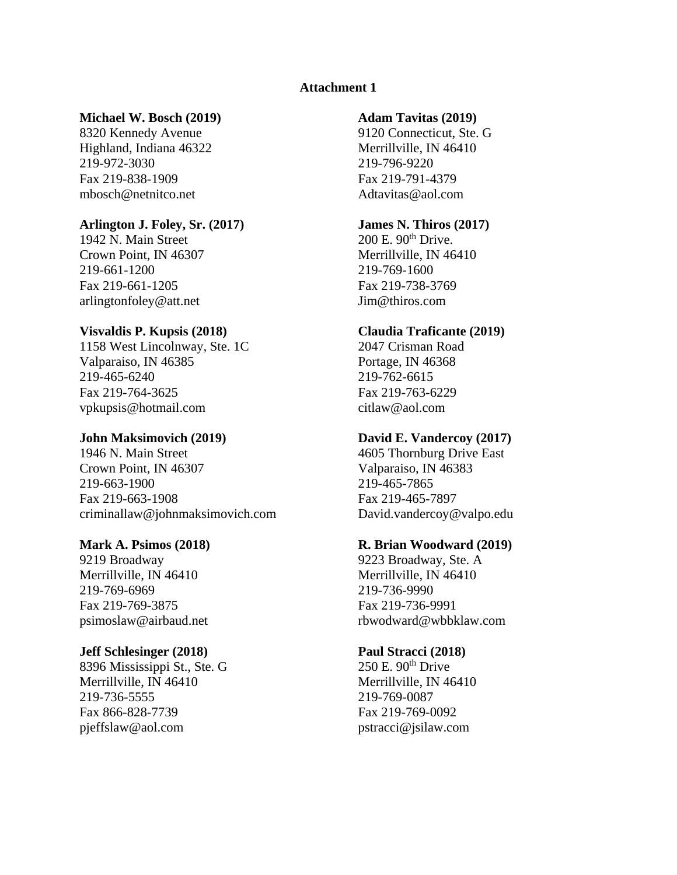# **Attachment 1**

### **Michael W. Bosch (2019) Adam Tavitas (2019)**

Highland, Indiana 46322 Merrillville, IN 46410 219-972-3030 219-796-9220 Fax 219-838-1909 Fax 219-791-4379 mbosch@netnitco.net Adtavitas@aol.com

# **Arlington J. Foley, Sr. (2017) James N. Thiros (2017)** 1942 N. Main Street 200 E. 90<sup>th</sup> Drive.

1942 N. Main Street Crown Point, IN 46307 Merrillville, IN 46410 219-661-1200 219-769-1600 Fax 219-661-1205 Fax 219-738-3769 arlingtonfoley@att.net Jim@thiros.com

### **Visvaldis P. Kupsis (2018) Claudia Traficante (2019)**

1158 West Lincolnway, Ste. 1C 2047 Crisman Road Valparaiso, IN 46385 Portage, IN 46368 219-465-6240 219-762-6615 Fax 219-764-3625 Fax 219-763-6229 vpkupsis@hotmail.com citlaw@aol.com

1946 N. Main Street 4605 Thornburg Drive East Crown Point, IN 46307 Valparaiso, IN 46383 219-663-1900 219-465-7865 Fax 219-663-1908 Fax 219-465-7897 criminallaw@johnmaksimovich.com David.vandercoy@valpo.edu

9219 Broadway 9223 Broadway, Ste. A Merrillville, IN 46410 Merrillville, IN 46410 219-769-6969 219-736-9990 Fax 219-769-3875 Fax 219-736-9991

# **Jeff Schlesinger (2018) Paul Stracci (2018)**

8396 Mississippi St., Ste. G  $250 E. 90<sup>th</sup>$  Drive Merrillville, IN 46410 Merrillville, IN 46410 219-736-5555 219-769-0087 Fax 866-828-7739 Fax 219-769-0092 pjeffslaw@aol.com pstracci@jsilaw.com

8320 Kennedy Avenue 9120 Connecticut, Ste. G

### **John Maksimovich (2019) David E. Vandercoy (2017)**

### **Mark A. Psimos (2018) R. Brian Woodward (2019)**

psimoslaw@airbaud.net rbwodward@wbbklaw.com